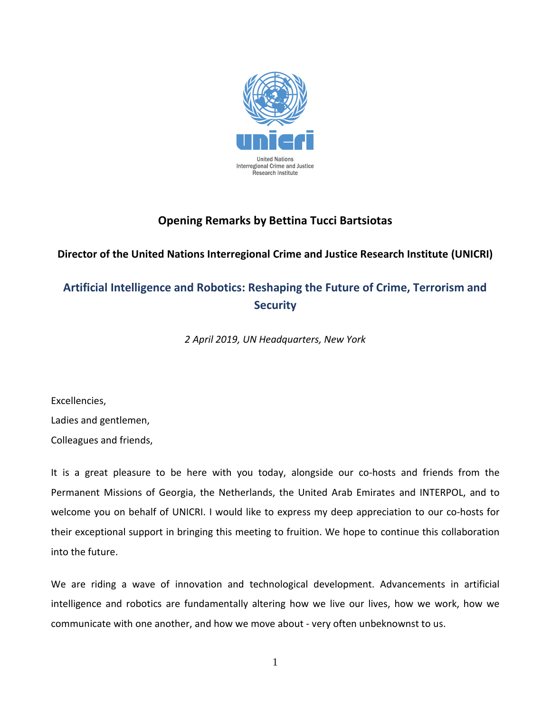

## **Opening Remarks by Bettina Tucci Bartsiotas**

**Director of the United Nations Interregional Crime and Justice Research Institute (UNICRI)**

## **Artificial Intelligence and Robotics: Reshaping the Future of Crime, Terrorism and Security**

*2 April 2019, UN Headquarters, New York*

Excellencies,

Ladies and gentlemen,

Colleagues and friends,

It is a great pleasure to be here with you today, alongside our co-hosts and friends from the Permanent Missions of Georgia, the Netherlands, the United Arab Emirates and INTERPOL, and to welcome you on behalf of UNICRI. I would like to express my deep appreciation to our co-hosts for their exceptional support in bringing this meeting to fruition. We hope to continue this collaboration into the future.

We are riding a wave of innovation and technological development. Advancements in artificial intelligence and robotics are fundamentally altering how we live our lives, how we work, how we communicate with one another, and how we move about - very often unbeknownst to us.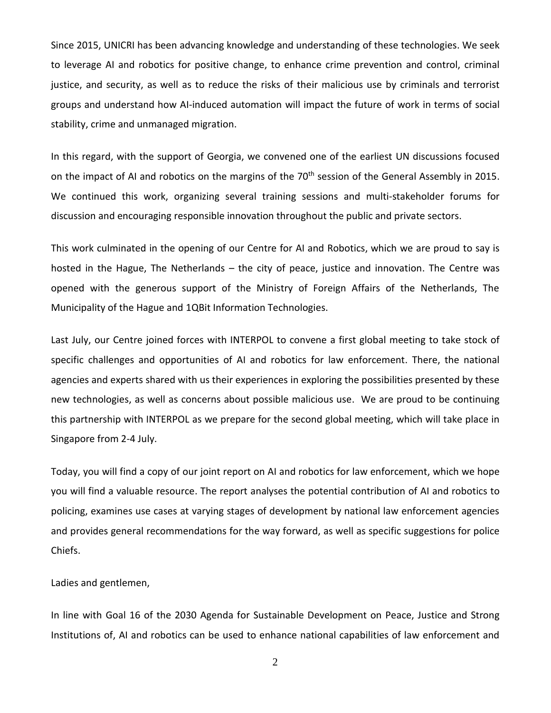Since 2015, UNICRI has been advancing knowledge and understanding of these technologies. We seek to leverage AI and robotics for positive change, to enhance crime prevention and control, criminal justice, and security, as well as to reduce the risks of their malicious use by criminals and terrorist groups and understand how AI-induced automation will impact the future of work in terms of social stability, crime and unmanaged migration.

In this regard, with the support of Georgia, we convened one of the earliest UN discussions focused on the impact of AI and robotics on the margins of the 70<sup>th</sup> session of the General Assembly in 2015. We continued this work, organizing several training sessions and multi-stakeholder forums for discussion and encouraging responsible innovation throughout the public and private sectors.

This work culminated in the opening of our Centre for AI and Robotics, which we are proud to say is hosted in the Hague, The Netherlands – the city of peace, justice and innovation. The Centre was opened with the generous support of the Ministry of Foreign Affairs of the Netherlands, The Municipality of the Hague and 1QBit Information Technologies.

Last July, our Centre joined forces with INTERPOL to convene a first global meeting to take stock of specific challenges and opportunities of AI and robotics for law enforcement. There, the national agencies and experts shared with us their experiences in exploring the possibilities presented by these new technologies, as well as concerns about possible malicious use. We are proud to be continuing this partnership with INTERPOL as we prepare for the second global meeting, which will take place in Singapore from 2-4 July.

Today, you will find a copy of our joint report on AI and robotics for law enforcement, which we hope you will find a valuable resource. The report analyses the potential contribution of AI and robotics to policing, examines use cases at varying stages of development by national law enforcement agencies and provides general recommendations for the way forward, as well as specific suggestions for police Chiefs.

Ladies and gentlemen,

In line with Goal 16 of the 2030 Agenda for Sustainable Development on Peace, Justice and Strong Institutions of, AI and robotics can be used to enhance national capabilities of law enforcement and

2